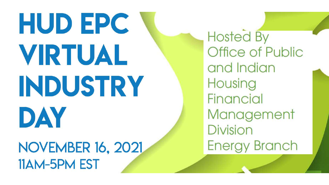# HUD EPC VRTUAL INDUSTRY DAY

**NOVEMBER 16, 2021** 11AM-5PM EST

**Hosted By** Office of Public and Indian Housing **Financial** Management **Division Energy Branch**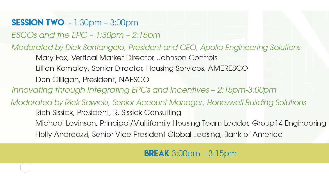### **SESSION TWO** - 1:30pm - 3:00pm

 $\textsf{ESCOs}$  and the EPC - 1:30pm - 2:15pm

Moderated by Dick Santangelo, President and CEO, Apollo Engineering Solutions

Mary Fox, Vertical Market Director, Johnson Controls

Lillian Kamalay, Senior Director, Housing Services, AMERESCO

Don Gilligan, President, NAESCO

Innovating through Integrating EPCs and Incentives - 2:15pm-3:00pm

Moderated by Rick Sawicki, Senior Account Manager, Honeywell Building Solutions Rich Sissick, President, R. Sissick Consulting Michael Levinson, Principal/Multifamily Housing Team Leader, Group 14 Engineering Holly Andreozzi, Senior Vice President Global Leasing, Bank of America

**BREAK**  $3:00$ pm  $-3:15$ pm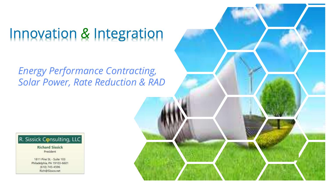# Innovation & Integration

*Energy Performance Contracting, Solar Power, Rate Reduction & RAD*



**Richard Sissick** President

1811 Pine St. - Suite 103 Philadelphia, PA 19103-6601  $(610)$  745-4596 Rich@Sissco.net

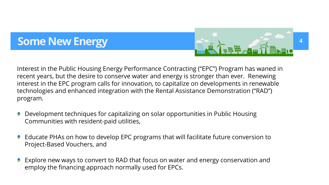# **Some New Energy**



Interest in the Public Housing Energy Performance Contracting ("EPC") Program has waned in recent years, but the desire to conserve water and energy is stronger than ever. Renewing interest in the EPC program calls for innovation, to capitalize on developments in renewable technologies and enhanced integration with the Rental Assistance Demonstration ("RAD") program.

- Development techniques for capitalizing on solar opportunities in Public Housing Communities with resident-paid utilities,
- Educate PHAs on how to develop EPC programs that will facilitate future conversion to Project-Based Vouchers, and
- Explore new ways to convert to RAD that focus on water and energy conservation and employ the financing approach normally used for EPCs.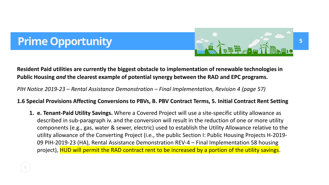# **Prime Opportunity**



**Resident Paid utilities are currently the biggest obstacle to implementation of renewable technologies in Public Housing** *and* **the clearest example of potential synergy between the RAD and EPC programs.** 

*PIH Notice 2019-23 – Rental Assistance Demonstration – Final Implementation, Revision 4 (page 57)*

#### **1.6 Special Provisions Affecting Conversions to PBVs, B. PBV Contract Terms, 5. Initial Contract Rent Setting**

**1. e. Tenant-Paid Utility Savings.** Where a Covered Project will use a site-specific utility allowance as described in sub-paragraph iv. and the conversion will result in the reduction of one or more utility components (e.g., gas, water & sewer, electric) used to establish the Utility Allowance relative to the utility allowance of the Converting Project (i.e., the public Section I: Public Housing Projects H-2019- 09 PIH-2019-23 (HA), Rental Assistance Demonstration REV-4 – Final Implementation 58 housing project), HUD will permit the RAD contract rent to be increased by a portion of the utility savings.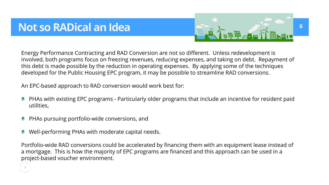# **Not so RADical an Idea**



Energy Performance Contracting and RAD Conversion are not so different. Unless redevelopment is involved, both programs focus on freezing revenues, reducing expenses, and taking on debt. Repayment of this debt is made possible by the reduction in operating expenses. By applying some of the techniques developed for the Public Housing EPC program, it may be possible to streamline RAD conversions.

An EPC-based approach to RAD conversion would work best for:

- PHAs with existing EPC programs Particularly older programs that include an incentive for resident paid utilities,
- PHAs pursuing portfolio-wide conversions, and
- Well-performing PHAs with moderate capital needs.

Portfolio-wide RAD conversions could be accelerated by financing them with an equipment lease instead of a mortgage. This is how the majority of EPC programs are financed and this approach can be used in a project-based voucher environment.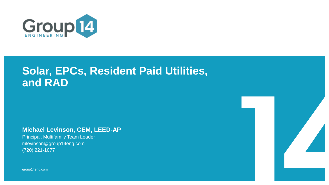

# **Solar, EPCs, Resident Paid Utilities, and RAD**

**Michael Levinson, CEM, LEED-AP** 

Principal, Multifamily Team Leader mlevinson@group14eng.com (720) 221-1077

group14eng.com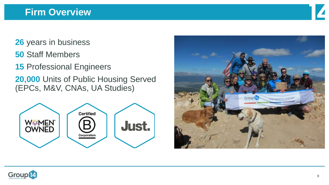

- **26** years in business
- **50** Staff Members
- **15** Professional Engineers
- **20,000** Units of Public Housing Served (EPCs, M&V, CNAs, UA Studies)





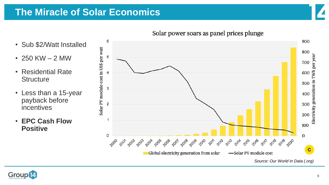## **The Miracle of Solar Economics**





- 250 KW 2 MW
- Residential Rate **Structure**
- Less than a 15-year payback before incentives
- **EPC Cash Flow Positive**





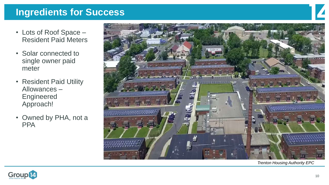## **Ingredients for Success**

- Lots of Roof Space Resident Paid Meters
- Solar connected to single owner paid meter
- Resident Paid Utility Allowances – Engineered Approach!
- Owned by PHA, not a **PPA**



*Trenton Housing Authority EPC*